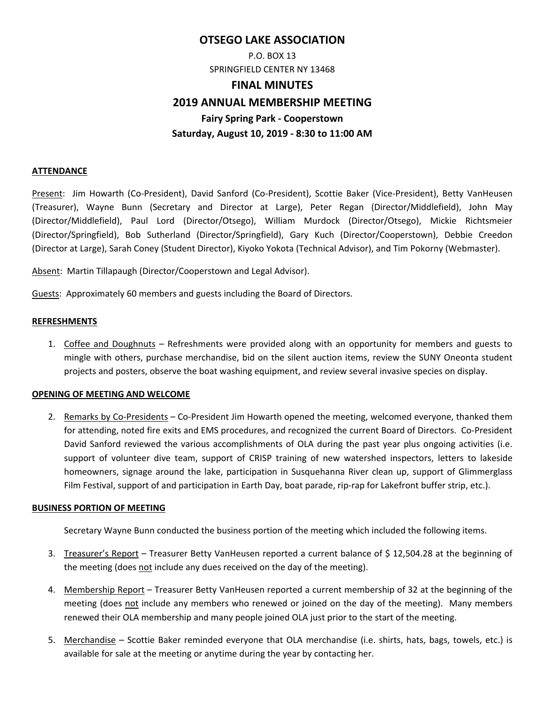# **OTSEGO LAKE ASSOCIATION**

P.O. BOX 13 SPRINGFIELD CENTER NY 13468

#### **FINAL MINUTES**

## **2019 ANNUAL MEMBERSHIP MEETING**

**Fairy Spring Park ‐ Cooperstown** 

## **Saturday, August 10, 2019 ‐ 8:30 to 11:00 AM**

#### **ATTENDANCE**

Present: Jim Howarth (Co‐President), David Sanford (Co‐President), Scottie Baker (Vice‐President), Betty VanHeusen (Treasurer), Wayne Bunn (Secretary and Director at Large), Peter Regan (Director/Middlefield), John May (Director/Middlefield), Paul Lord (Director/Otsego), William Murdock (Director/Otsego), Mickie Richtsmeier (Director/Springfield), Bob Sutherland (Director/Springfield), Gary Kuch (Director/Cooperstown), Debbie Creedon (Director at Large), Sarah Coney (Student Director), Kiyoko Yokota (Technical Advisor), and Tim Pokorny (Webmaster).

Absent: Martin Tillapaugh (Director/Cooperstown and Legal Advisor).

Guests: Approximately 60 members and guests including the Board of Directors.

## **REFRESHMENTS**

1. Coffee and Doughnuts – Refreshments were provided along with an opportunity for members and guests to mingle with others, purchase merchandise, bid on the silent auction items, review the SUNY Oneonta student projects and posters, observe the boat washing equipment, and review several invasive species on display.

## **OPENING OF MEETING AND WELCOME**

2. Remarks by Co-Presidents – Co-President Jim Howarth opened the meeting, welcomed everyone, thanked them for attending, noted fire exits and EMS procedures, and recognized the current Board of Directors. Co‐President David Sanford reviewed the various accomplishments of OLA during the past year plus ongoing activities (i.e. support of volunteer dive team, support of CRISP training of new watershed inspectors, letters to lakeside homeowners, signage around the lake, participation in Susquehanna River clean up, support of Glimmerglass Film Festival, support of and participation in Earth Day, boat parade, rip-rap for Lakefront buffer strip, etc.).

#### **BUSINESS PORTION OF MEETING**

Secretary Wayne Bunn conducted the business portion of the meeting which included the following items.

- 3. Treasurer's Report Treasurer Betty VanHeusen reported a current balance of \$ 12,504.28 at the beginning of the meeting (does not include any dues received on the day of the meeting).
- 4. Membership Report Treasurer Betty VanHeusen reported a current membership of 32 at the beginning of the meeting (does not include any members who renewed or joined on the day of the meeting). Many members renewed their OLA membership and many people joined OLA just prior to the start of the meeting.
- 5. Merchandise Scottie Baker reminded everyone that OLA merchandise (i.e. shirts, hats, bags, towels, etc.) is available for sale at the meeting or anytime during the year by contacting her.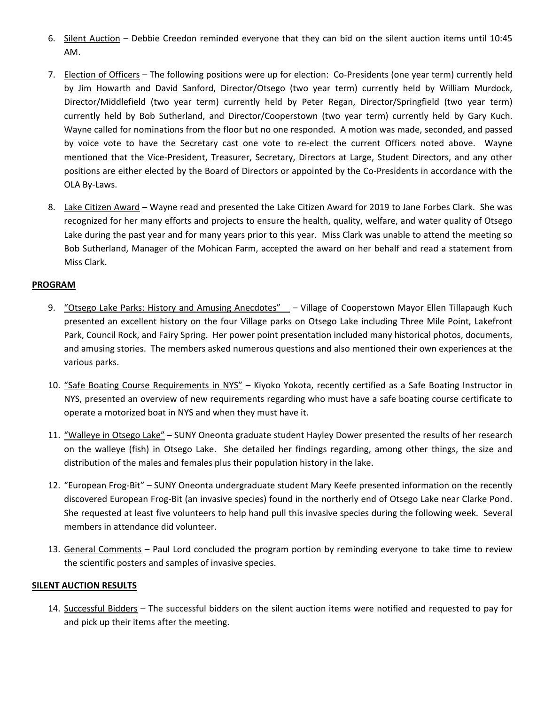- 6. Silent Auction Debbie Creedon reminded everyone that they can bid on the silent auction items until 10:45 AM.
- 7. Election of Officers The following positions were up for election: Co‐Presidents (one year term) currently held by Jim Howarth and David Sanford, Director/Otsego (two year term) currently held by William Murdock, Director/Middlefield (two year term) currently held by Peter Regan, Director/Springfield (two year term) currently held by Bob Sutherland, and Director/Cooperstown (two year term) currently held by Gary Kuch. Wayne called for nominations from the floor but no one responded. A motion was made, seconded, and passed by voice vote to have the Secretary cast one vote to re-elect the current Officers noted above. Wayne mentioned that the Vice‐President, Treasurer, Secretary, Directors at Large, Student Directors, and any other positions are either elected by the Board of Directors or appointed by the Co‐Presidents in accordance with the OLA By‐Laws.
- 8. Lake Citizen Award Wayne read and presented the Lake Citizen Award for 2019 to Jane Forbes Clark. She was recognized for her many efforts and projects to ensure the health, quality, welfare, and water quality of Otsego Lake during the past year and for many years prior to this year. Miss Clark was unable to attend the meeting so Bob Sutherland, Manager of the Mohican Farm, accepted the award on her behalf and read a statement from Miss Clark.

## **PROGRAM**

- 9. "Otsego Lake Parks: History and Amusing Anecdotes" Village of Cooperstown Mayor Ellen Tillapaugh Kuch presented an excellent history on the four Village parks on Otsego Lake including Three Mile Point, Lakefront Park, Council Rock, and Fairy Spring. Her power point presentation included many historical photos, documents, and amusing stories. The members asked numerous questions and also mentioned their own experiences at the various parks.
- 10. "Safe Boating Course Requirements in NYS" Kiyoko Yokota, recently certified as a Safe Boating Instructor in NYS, presented an overview of new requirements regarding who must have a safe boating course certificate to operate a motorized boat in NYS and when they must have it.
- 11. "Walleye in Otsego Lake" SUNY Oneonta graduate student Hayley Dower presented the results of her research on the walleye (fish) in Otsego Lake. She detailed her findings regarding, among other things, the size and distribution of the males and females plus their population history in the lake.
- 12. "European Frog‐Bit" SUNY Oneonta undergraduate student Mary Keefe presented information on the recently discovered European Frog‐Bit (an invasive species) found in the northerly end of Otsego Lake near Clarke Pond. She requested at least five volunteers to help hand pull this invasive species during the following week. Several members in attendance did volunteer.
- 13. General Comments Paul Lord concluded the program portion by reminding everyone to take time to review the scientific posters and samples of invasive species.

## **SILENT AUCTION RESULTS**

14. Successful Bidders – The successful bidders on the silent auction items were notified and requested to pay for and pick up their items after the meeting.